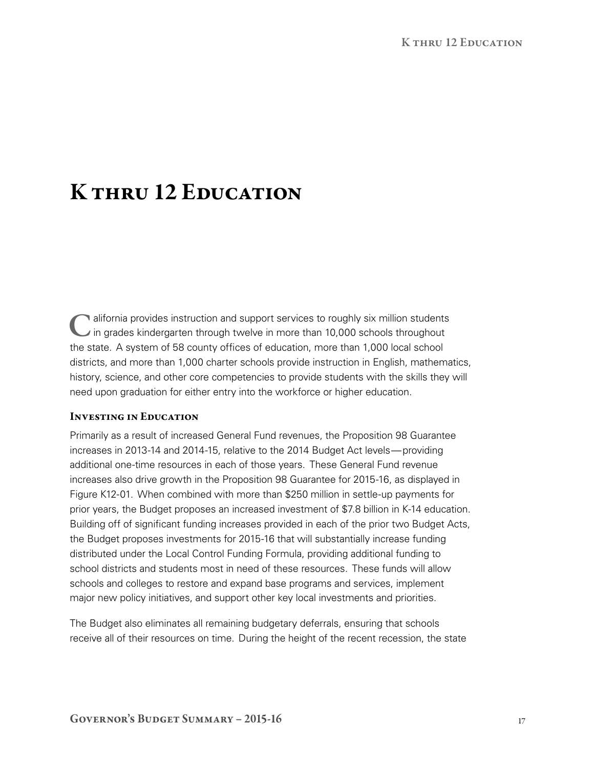# K thru 12 Education

lalifornia provides instruction and support services to roughly six million students in grades kindergarten through twelve in more than 10,000 schools throughout the state. A system of 58 county offices of education, more than 1,000 local school districts, and more than 1,000 charter schools provide instruction in English, mathematics, history, science, and other core competencies to provide students with the skills they will need upon graduation for either entry into the workforce or higher education.

#### Investing in Education

Primarily as a result of increased General Fund revenues, the Proposition 98 Guarantee increases in 2013‑14 and 2014‑15, relative to the 2014 Budget Act levels—providing additional one‑time resources in each of those years. These General Fund revenue increases also drive growth in the Proposition 98 Guarantee for 2015-16, as displayed in Figure K12-01. When combined with more than \$250 million in settle-up payments for prior years, the Budget proposes an increased investment of \$7.8 billion in K‑14 education. Building off of significant funding increases provided in each of the prior two Budget Acts, the Budget proposes investments for 2015-16 that will substantially increase funding distributed under the Local Control Funding Formula, providing additional funding to school districts and students most in need of these resources. These funds will allow schools and colleges to restore and expand base programs and services, implement major new policy initiatives, and support other key local investments and priorities.

The Budget also eliminates all remaining budgetary deferrals, ensuring that schools receive all of their resources on time. During the height of the recent recession, the state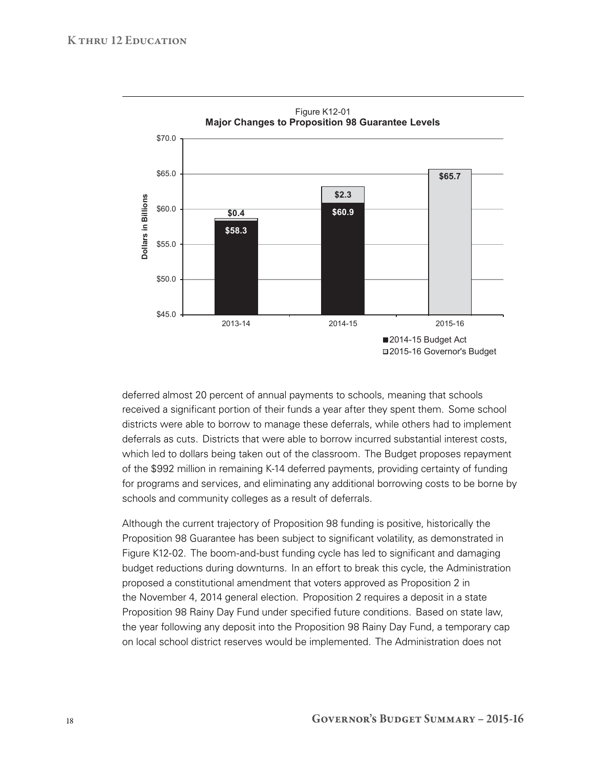

deferred almost 20 percent of annual payments to schools, meaning that schools received a significant portion of their funds a year after they spent them. Some school districts were able to borrow to manage these deferrals, while others had to implement deferrals as cuts. Districts that were able to borrow incurred substantial interest costs, which led to dollars being taken out of the classroom. The Budget proposes repayment of the \$992 million in remaining K‑14 deferred payments, providing certainty of funding for programs and services, and eliminating any additional borrowing costs to be borne by schools and community colleges as a result of deferrals.

Although the current trajectory of Proposition 98 funding is positive, historically the Proposition 98 Guarantee has been subject to significant volatility, as demonstrated in Figure K12-02. The boom-and-bust funding cycle has led to significant and damaging budget reductions during downturns. In an effort to break this cycle, the Administration proposed a constitutional amendment that voters approved as Proposition 2 in the November 4, 2014 general election. Proposition 2 requires a deposit in a state Proposition 98 Rainy Day Fund under specified future conditions. Based on state law, the year following any deposit into the Proposition 98 Rainy Day Fund, a temporary cap on local school district reserves would be implemented. The Administration does not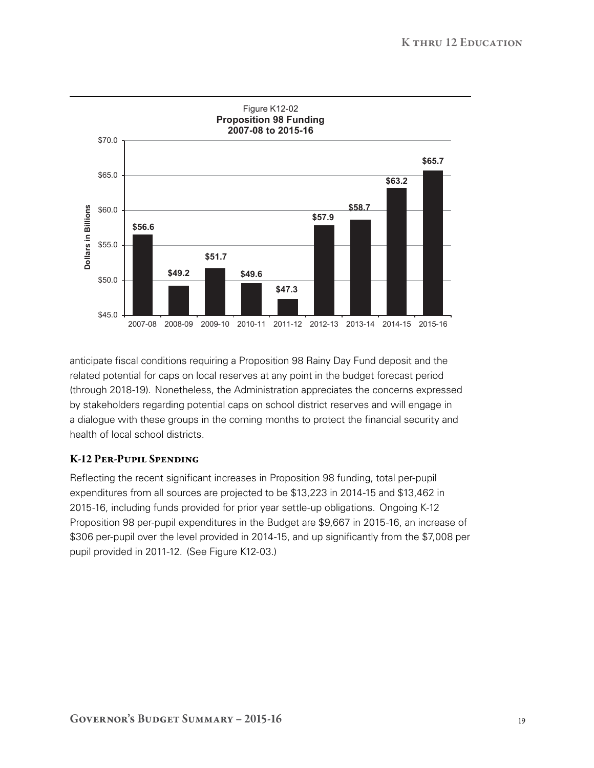

anticipate fiscal conditions requiring a Proposition 98 Rainy Day Fund deposit and the related potential for caps on local reserves at any point in the budget forecast period (through 2018‑19). Nonetheless, the Administration appreciates the concerns expressed by stakeholders regarding potential caps on school district reserves and will engage in a dialogue with these groups in the coming months to protect the financial security and health of local school districts.

## K-12 Per-Pupil Spending

Reflecting the recent significant increases in Proposition 98 funding, total per-pupil expenditures from all sources are projected to be \$13,223 in 2014‑15 and \$13,462 in 2015‑16, including funds provided for prior year settle‑up obligations. Ongoing K‑12 Proposition 98 per-pupil expenditures in the Budget are \$9,667 in 2015-16, an increase of \$306 per-pupil over the level provided in 2014-15, and up significantly from the \$7,008 per pupil provided in 2011-12. (See Figure K12-03.)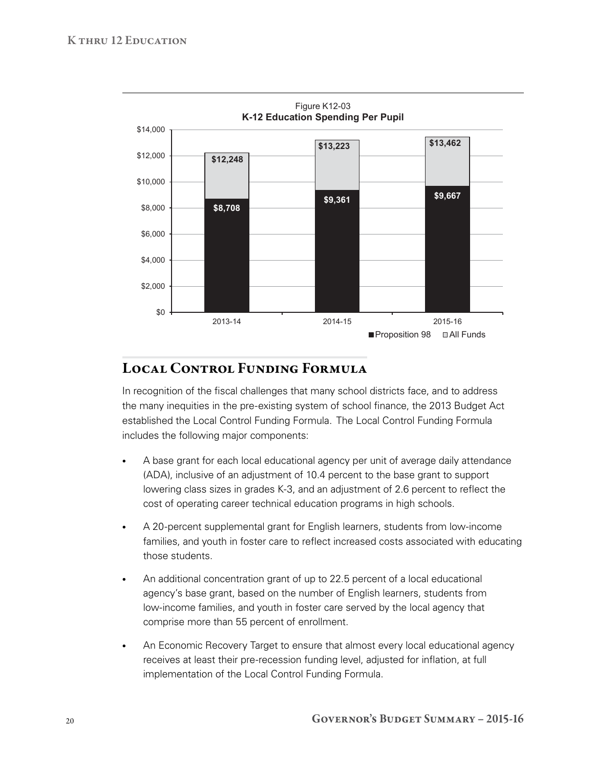

# Local Control Funding Formula

In recognition of the fiscal challenges that many school districts face, and to address the many inequities in the pre‑existing system of school finance, the 2013 Budget Act established the Local Control Funding Formula. The Local Control Funding Formula includes the following major components:

- A base grant for each local educational agency per unit of average daily attendance (ADA), inclusive of an adjustment of 10.4 percent to the base grant to support lowering class sizes in grades K‑3, and an adjustment of 2.6 percent to reflect the cost of operating career technical education programs in high schools.
- A 20-percent supplemental grant for English learners, students from low-income families, and youth in foster care to reflect increased costs associated with educating those students.
- An additional concentration grant of up to 22.5 percent of a local educational agency's base grant, based on the number of English learners, students from low‑income families, and youth in foster care served by the local agency that comprise more than 55 percent of enrollment.
- An Economic Recovery Target to ensure that almost every local educational agency receives at least their pre‑recession funding level, adjusted for inflation, at full implementation of the Local Control Funding Formula.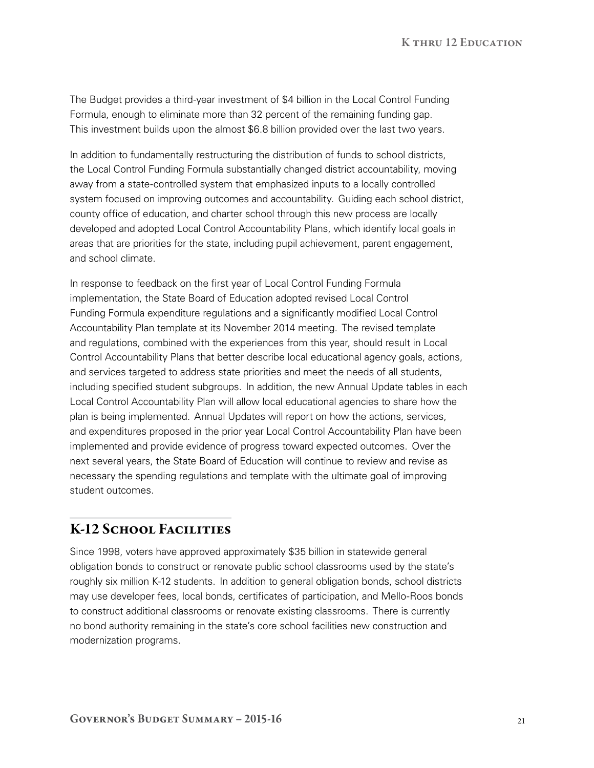The Budget provides a third‑year investment of \$4 billion in the Local Control Funding Formula, enough to eliminate more than 32 percent of the remaining funding gap. This investment builds upon the almost \$6.8 billion provided over the last two years.

In addition to fundamentally restructuring the distribution of funds to school districts, the Local Control Funding Formula substantially changed district accountability, moving away from a state‑controlled system that emphasized inputs to a locally controlled system focused on improving outcomes and accountability. Guiding each school district, county office of education, and charter school through this new process are locally developed and adopted Local Control Accountability Plans, which identify local goals in areas that are priorities for the state, including pupil achievement, parent engagement, and school climate.

In response to feedback on the first year of Local Control Funding Formula implementation, the State Board of Education adopted revised Local Control Funding Formula expenditure regulations and a significantly modified Local Control Accountability Plan template at its November 2014 meeting. The revised template and regulations, combined with the experiences from this year, should result in Local Control Accountability Plans that better describe local educational agency goals, actions, and services targeted to address state priorities and meet the needs of all students, including specified student subgroups. In addition, the new Annual Update tables in each Local Control Accountability Plan will allow local educational agencies to share how the plan is being implemented. Annual Updates will report on how the actions, services, and expenditures proposed in the prior year Local Control Accountability Plan have been implemented and provide evidence of progress toward expected outcomes. Over the next several years, the State Board of Education will continue to review and revise as necessary the spending regulations and template with the ultimate goal of improving student outcomes.

# K-12 SCHOOL FACILITIES

Since 1998, voters have approved approximately \$35 billion in statewide general obligation bonds to construct or renovate public school classrooms used by the state's roughly six million K‑12 students. In addition to general obligation bonds, school districts may use developer fees, local bonds, certificates of participation, and Mello-Roos bonds to construct additional classrooms or renovate existing classrooms. There is currently no bond authority remaining in the state's core school facilities new construction and modernization programs.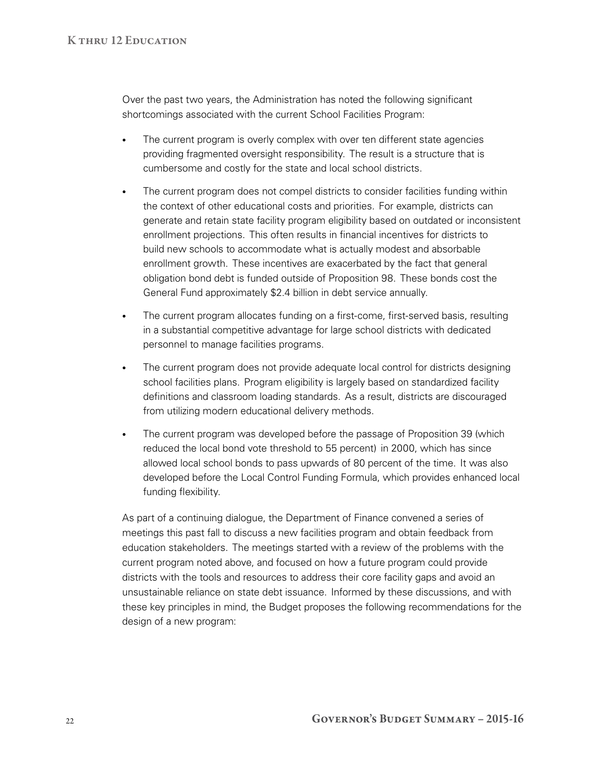Over the past two years, the Administration has noted the following significant shortcomings associated with the current School Facilities Program:

- The current program is overly complex with over ten different state agencies providing fragmented oversight responsibility. The result is a structure that is cumbersome and costly for the state and local school districts.
- The current program does not compel districts to consider facilities funding within the context of other educational costs and priorities. For example, districts can generate and retain state facility program eligibility based on outdated or inconsistent enrollment projections. This often results in financial incentives for districts to build new schools to accommodate what is actually modest and absorbable enrollment growth. These incentives are exacerbated by the fact that general obligation bond debt is funded outside of Proposition 98. These bonds cost the General Fund approximately \$2.4 billion in debt service annually.
- The current program allocates funding on a first-come, first-served basis, resulting in a substantial competitive advantage for large school districts with dedicated personnel to manage facilities programs.
- The current program does not provide adequate local control for districts designing school facilities plans. Program eligibility is largely based on standardized facility definitions and classroom loading standards. As a result, districts are discouraged from utilizing modern educational delivery methods.
- The current program was developed before the passage of Proposition 39 (which reduced the local bond vote threshold to 55 percent) in 2000, which has since allowed local school bonds to pass upwards of 80 percent of the time. It was also developed before the Local Control Funding Formula, which provides enhanced local funding flexibility.

As part of a continuing dialogue, the Department of Finance convened a series of meetings this past fall to discuss a new facilities program and obtain feedback from education stakeholders. The meetings started with a review of the problems with the current program noted above, and focused on how a future program could provide districts with the tools and resources to address their core facility gaps and avoid an unsustainable reliance on state debt issuance. Informed by these discussions, and with these key principles in mind, the Budget proposes the following recommendations for the design of a new program: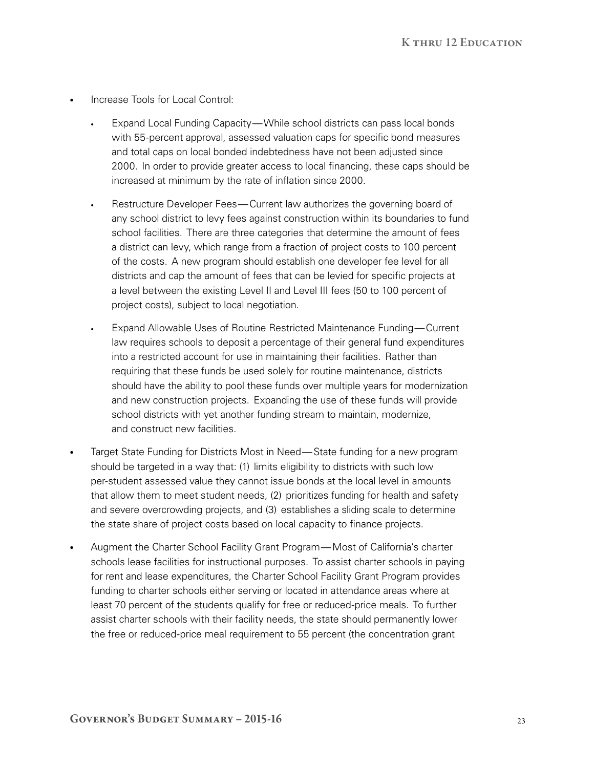- Increase Tools for Local Control:
	- Expand Local Funding Capacity—While school districts can pass local bonds with 55‑percent approval, assessed valuation caps for specific bond measures and total caps on local bonded indebtedness have not been adjusted since 2000. In order to provide greater access to local financing, these caps should be increased at minimum by the rate of inflation since 2000.
	- Restructure Developer Fees—Current law authorizes the governing board of any school district to levy fees against construction within its boundaries to fund school facilities. There are three categories that determine the amount of fees a district can levy, which range from a fraction of project costs to 100 percent of the costs. A new program should establish one developer fee level for all districts and cap the amount of fees that can be levied for specific projects at a level between the existing Level II and Level III fees (50 to 100 percent of project costs), subject to local negotiation.
	- Expand Allowable Uses of Routine Restricted Maintenance Funding—Current law requires schools to deposit a percentage of their general fund expenditures into a restricted account for use in maintaining their facilities. Rather than requiring that these funds be used solely for routine maintenance, districts should have the ability to pool these funds over multiple years for modernization and new construction projects. Expanding the use of these funds will provide school districts with yet another funding stream to maintain, modernize, and construct new facilities.
- Target State Funding for Districts Most in Need—State funding for a new program should be targeted in a way that: (1) limits eligibility to districts with such low per‑student assessed value they cannot issue bonds at the local level in amounts that allow them to meet student needs, (2) prioritizes funding for health and safety and severe overcrowding projects, and (3) establishes a sliding scale to determine the state share of project costs based on local capacity to finance projects.
- Augment the Charter School Facility Grant Program—Most of California's charter schools lease facilities for instructional purposes. To assist charter schools in paying for rent and lease expenditures, the Charter School Facility Grant Program provides funding to charter schools either serving or located in attendance areas where at least 70 percent of the students qualify for free or reduced-price meals. To further assist charter schools with their facility needs, the state should permanently lower the free or reduced-price meal requirement to 55 percent (the concentration grant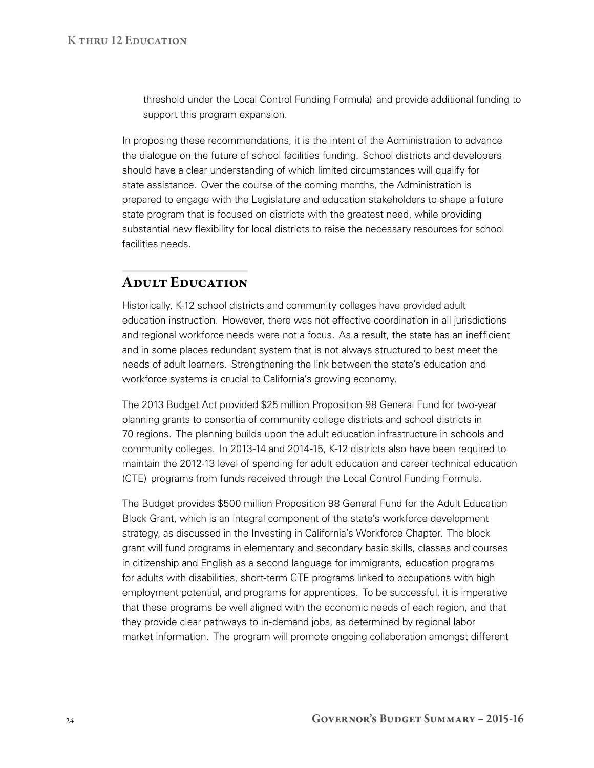threshold under the Local Control Funding Formula) and provide additional funding to support this program expansion.

In proposing these recommendations, it is the intent of the Administration to advance the dialogue on the future of school facilities funding. School districts and developers should have a clear understanding of which limited circumstances will qualify for state assistance. Over the course of the coming months, the Administration is prepared to engage with the Legislature and education stakeholders to shape a future state program that is focused on districts with the greatest need, while providing substantial new flexibility for local districts to raise the necessary resources for school facilities needs.

## Adult Education

Historically, K‑12 school districts and community colleges have provided adult education instruction. However, there was not effective coordination in all jurisdictions and regional workforce needs were not a focus. As a result, the state has an inefficient and in some places redundant system that is not always structured to best meet the needs of adult learners. Strengthening the link between the state's education and workforce systems is crucial to California's growing economy.

The 2013 Budget Act provided \$25 million Proposition 98 General Fund for two‑year planning grants to consortia of community college districts and school districts in 70 regions. The planning builds upon the adult education infrastructure in schools and community colleges. In 2013‑14 and 2014‑15, K‑12 districts also have been required to maintain the 2012‑13 level of spending for adult education and career technical education (CTE) programs from funds received through the Local Control Funding Formula.

The Budget provides \$500 million Proposition 98 General Fund for the Adult Education Block Grant, which is an integral component of the state's workforce development strategy, as discussed in the Investing in California's Workforce Chapter. The block grant will fund programs in elementary and secondary basic skills, classes and courses in citizenship and English as a second language for immigrants, education programs for adults with disabilities, short-term CTE programs linked to occupations with high employment potential, and programs for apprentices. To be successful, it is imperative that these programs be well aligned with the economic needs of each region, and that they provide clear pathways to in‑demand jobs, as determined by regional labor market information. The program will promote ongoing collaboration amongst different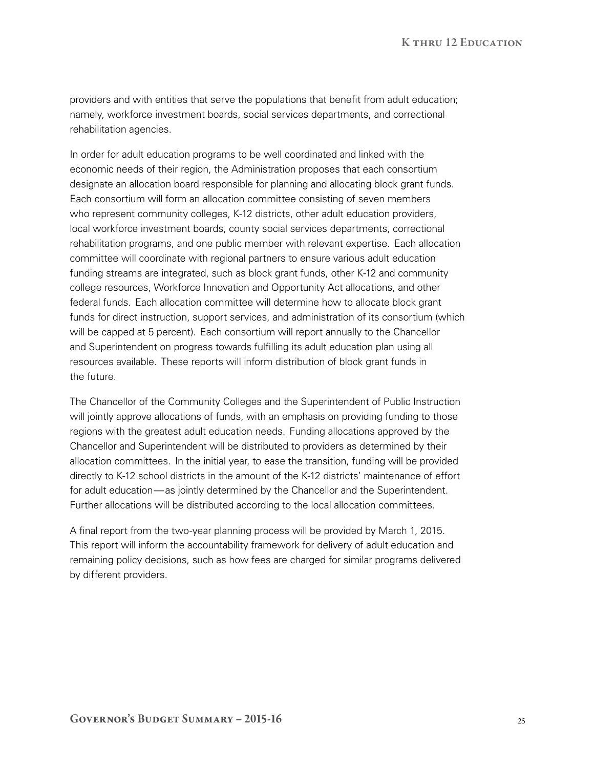providers and with entities that serve the populations that benefit from adult education; namely, workforce investment boards, social services departments, and correctional rehabilitation agencies.

In order for adult education programs to be well coordinated and linked with the economic needs of their region, the Administration proposes that each consortium designate an allocation board responsible for planning and allocating block grant funds. Each consortium will form an allocation committee consisting of seven members who represent community colleges, K-12 districts, other adult education providers, local workforce investment boards, county social services departments, correctional rehabilitation programs, and one public member with relevant expertise. Each allocation committee will coordinate with regional partners to ensure various adult education funding streams are integrated, such as block grant funds, other K-12 and community college resources, Workforce Innovation and Opportunity Act allocations, and other federal funds. Each allocation committee will determine how to allocate block grant funds for direct instruction, support services, and administration of its consortium (which will be capped at 5 percent). Each consortium will report annually to the Chancellor and Superintendent on progress towards fulfilling its adult education plan using all resources available. These reports will inform distribution of block grant funds in the future.

The Chancellor of the Community Colleges and the Superintendent of Public Instruction will jointly approve allocations of funds, with an emphasis on providing funding to those regions with the greatest adult education needs. Funding allocations approved by the Chancellor and Superintendent will be distributed to providers as determined by their allocation committees. In the initial year, to ease the transition, funding will be provided directly to K‑12 school districts in the amount of the K‑12 districts' maintenance of effort for adult education—as jointly determined by the Chancellor and the Superintendent. Further allocations will be distributed according to the local allocation committees.

A final report from the two-year planning process will be provided by March 1, 2015. This report will inform the accountability framework for delivery of adult education and remaining policy decisions, such as how fees are charged for similar programs delivered by different providers.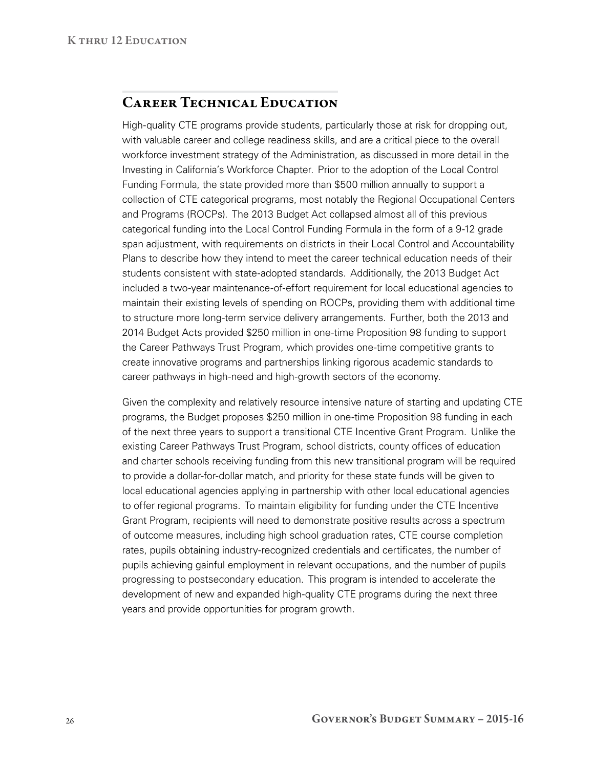## CAREER TECHNICAL EDUCATION

High-quality CTE programs provide students, particularly those at risk for dropping out, with valuable career and college readiness skills, and are a critical piece to the overall workforce investment strategy of the Administration, as discussed in more detail in the Investing in California's Workforce Chapter. Prior to the adoption of the Local Control Funding Formula, the state provided more than \$500 million annually to support a collection of CTE categorical programs, most notably the Regional Occupational Centers and Programs (ROCPs). The 2013 Budget Act collapsed almost all of this previous categorical funding into the Local Control Funding Formula in the form of a 9‑12 grade span adjustment, with requirements on districts in their Local Control and Accountability Plans to describe how they intend to meet the career technical education needs of their students consistent with state‑adopted standards. Additionally, the 2013 Budget Act included a two‑year maintenance‑of‑effort requirement for local educational agencies to maintain their existing levels of spending on ROCPs, providing them with additional time to structure more long-term service delivery arrangements. Further, both the 2013 and 2014 Budget Acts provided \$250 million in one‑time Proposition 98 funding to support the Career Pathways Trust Program, which provides one-time competitive grants to create innovative programs and partnerships linking rigorous academic standards to career pathways in high-need and high-growth sectors of the economy.

Given the complexity and relatively resource intensive nature of starting and updating CTE programs, the Budget proposes \$250 million in one‑time Proposition 98 funding in each of the next three years to support a transitional CTE Incentive Grant Program. Unlike the existing Career Pathways Trust Program, school districts, county offices of education and charter schools receiving funding from this new transitional program will be required to provide a dollar‑for‑dollar match, and priority for these state funds will be given to local educational agencies applying in partnership with other local educational agencies to offer regional programs. To maintain eligibility for funding under the CTE Incentive Grant Program, recipients will need to demonstrate positive results across a spectrum of outcome measures, including high school graduation rates, CTE course completion rates, pupils obtaining industry-recognized credentials and certificates, the number of pupils achieving gainful employment in relevant occupations, and the number of pupils progressing to postsecondary education. This program is intended to accelerate the development of new and expanded high-quality CTE programs during the next three years and provide opportunities for program growth.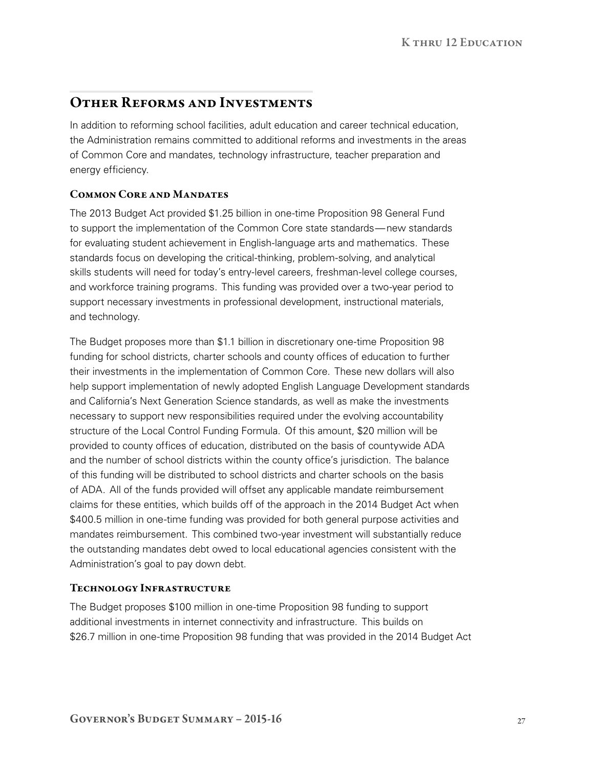# Other Reforms and Investments

In addition to reforming school facilities, adult education and career technical education, the Administration remains committed to additional reforms and investments in the areas of Common Core and mandates, technology infrastructure, teacher preparation and energy efficiency.

## Common Core and Mandates

The 2013 Budget Act provided \$1.25 billion in one-time Proposition 98 General Fund to support the implementation of the Common Core state standards—new standards for evaluating student achievement in English-language arts and mathematics. These standards focus on developing the critical-thinking, problem-solving, and analytical skills students will need for today's entry-level careers, freshman-level college courses, and workforce training programs. This funding was provided over a two-year period to support necessary investments in professional development, instructional materials, and technology.

The Budget proposes more than \$1.1 billion in discretionary one-time Proposition 98 funding for school districts, charter schools and county offices of education to further their investments in the implementation of Common Core. These new dollars will also help support implementation of newly adopted English Language Development standards and California's Next Generation Science standards, as well as make the investments necessary to support new responsibilities required under the evolving accountability structure of the Local Control Funding Formula. Of this amount, \$20 million will be provided to county offices of education, distributed on the basis of countywide ADA and the number of school districts within the county office's jurisdiction. The balance of this funding will be distributed to school districts and charter schools on the basis of ADA. All of the funds provided will offset any applicable mandate reimbursement claims for these entities, which builds off of the approach in the 2014 Budget Act when \$400.5 million in one-time funding was provided for both general purpose activities and mandates reimbursement. This combined two‑year investment will substantially reduce the outstanding mandates debt owed to local educational agencies consistent with the Administration's goal to pay down debt.

## Technology Infrastructure

The Budget proposes \$100 million in one-time Proposition 98 funding to support additional investments in internet connectivity and infrastructure. This builds on \$26.7 million in one-time Proposition 98 funding that was provided in the 2014 Budget Act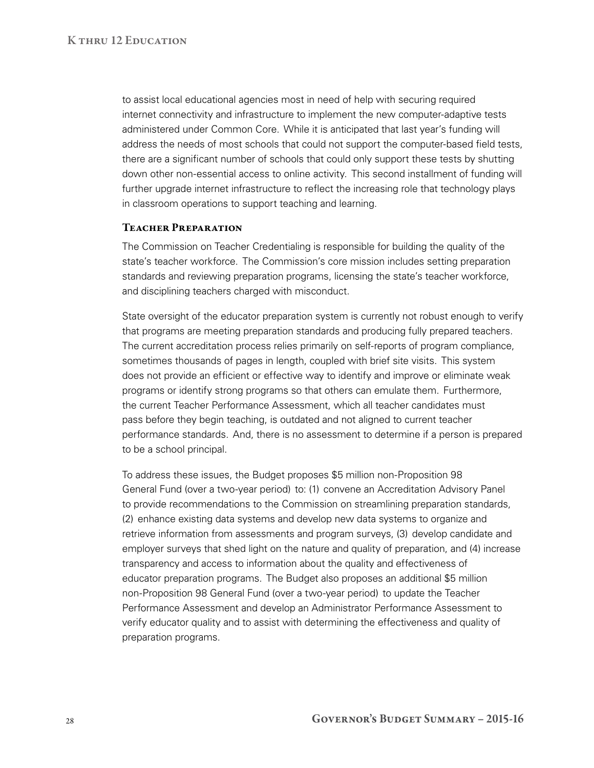to assist local educational agencies most in need of help with securing required internet connectivity and infrastructure to implement the new computer-adaptive tests administered under Common Core. While it is anticipated that last year's funding will address the needs of most schools that could not support the computer-based field tests, there are a significant number of schools that could only support these tests by shutting down other non-essential access to online activity. This second installment of funding will further upgrade internet infrastructure to reflect the increasing role that technology plays in classroom operations to support teaching and learning.

### Teacher Preparation

The Commission on Teacher Credentialing is responsible for building the quality of the state's teacher workforce. The Commission's core mission includes setting preparation standards and reviewing preparation programs, licensing the state's teacher workforce, and disciplining teachers charged with misconduct.

State oversight of the educator preparation system is currently not robust enough to verify that programs are meeting preparation standards and producing fully prepared teachers. The current accreditation process relies primarily on self-reports of program compliance, sometimes thousands of pages in length, coupled with brief site visits. This system does not provide an efficient or effective way to identify and improve or eliminate weak programs or identify strong programs so that others can emulate them. Furthermore, the current Teacher Performance Assessment, which all teacher candidates must pass before they begin teaching, is outdated and not aligned to current teacher performance standards. And, there is no assessment to determine if a person is prepared to be a school principal.

To address these issues, the Budget proposes \$5 million non‑Proposition 98 General Fund (over a two-year period) to: (1) convene an Accreditation Advisory Panel to provide recommendations to the Commission on streamlining preparation standards, (2) enhance existing data systems and develop new data systems to organize and retrieve information from assessments and program surveys, (3) develop candidate and employer surveys that shed light on the nature and quality of preparation, and (4) increase transparency and access to information about the quality and effectiveness of educator preparation programs. The Budget also proposes an additional \$5 million non‑Proposition 98 General Fund (over a two‑year period) to update the Teacher Performance Assessment and develop an Administrator Performance Assessment to verify educator quality and to assist with determining the effectiveness and quality of preparation programs.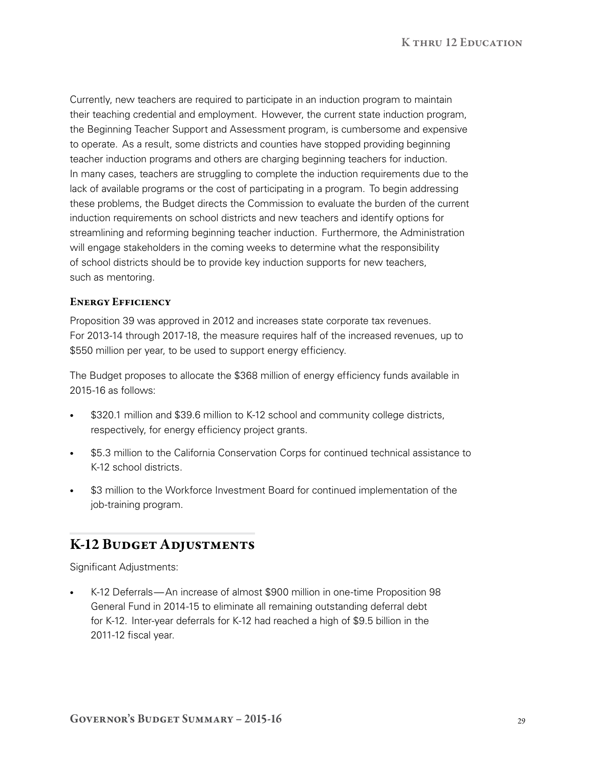Currently, new teachers are required to participate in an induction program to maintain their teaching credential and employment. However, the current state induction program, the Beginning Teacher Support and Assessment program, is cumbersome and expensive to operate. As a result, some districts and counties have stopped providing beginning teacher induction programs and others are charging beginning teachers for induction. In many cases, teachers are struggling to complete the induction requirements due to the lack of available programs or the cost of participating in a program. To begin addressing these problems, the Budget directs the Commission to evaluate the burden of the current induction requirements on school districts and new teachers and identify options for streamlining and reforming beginning teacher induction. Furthermore, the Administration will engage stakeholders in the coming weeks to determine what the responsibility of school districts should be to provide key induction supports for new teachers, such as mentoring.

## Energy Efficiency

Proposition 39 was approved in 2012 and increases state corporate tax revenues. For 2013-14 through 2017-18, the measure requires half of the increased revenues, up to \$550 million per year, to be used to support energy efficiency.

The Budget proposes to allocate the \$368 million of energy efficiency funds available in 2015‑16 as follows:

- \$320.1 million and \$39.6 million to K-12 school and community college districts, respectively, for energy efficiency project grants.
- \$5.3 million to the California Conservation Corps for continued technical assistance to K‑12 school districts.
- \$3 million to the Workforce Investment Board for continued implementation of the job-training program.

# K-12 Budget Adjustments

Significant Adjustments:

K-12 Deferrals—An increase of almost \$900 million in one-time Proposition 98 General Fund in 2014‑15 to eliminate all remaining outstanding deferral debt for K‑12. Inter‑year deferrals for K‑12 had reached a high of \$9.5 billion in the 2011-12 fiscal year.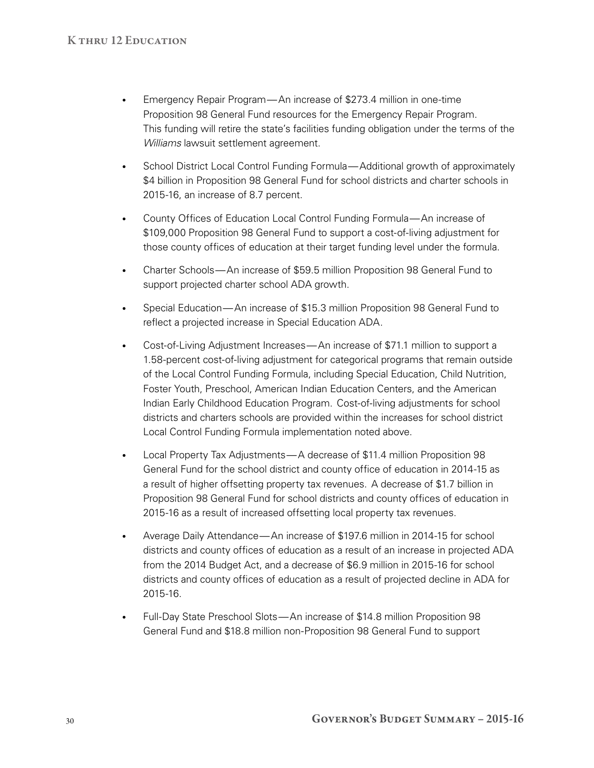- Emergency Repair Program—An increase of \$273.4 million in one-time Proposition 98 General Fund resources for the Emergency Repair Program. This funding will retire the state's facilities funding obligation under the terms of the *Williams* lawsuit settlement agreement.
- School District Local Control Funding Formula—Additional growth of approximately \$4 billion in Proposition 98 General Fund for school districts and charter schools in 2015‑16, an increase of 8.7 percent.
- County Offices of Education Local Control Funding Formula—An increase of \$109,000 Proposition 98 General Fund to support a cost-of-living adjustment for those county offices of education at their target funding level under the formula.
- • Charter Schools—An increase of \$59.5 million Proposition 98 General Fund to support projected charter school ADA growth.
- • Special Education—An increase of \$15.3 million Proposition 98 General Fund to reflect a projected increase in Special Education ADA.
- Cost-of-Living Adjustment Increases—An increase of \$71.1 million to support a 1.58‑percent cost‑of‑living adjustment for categorical programs that remain outside of the Local Control Funding Formula, including Special Education, Child Nutrition, Foster Youth, Preschool, American Indian Education Centers, and the American Indian Early Childhood Education Program. Cost‑of‑living adjustments for school districts and charters schools are provided within the increases for school district Local Control Funding Formula implementation noted above.
- Local Property Tax Adjustments—A decrease of \$11.4 million Proposition 98 General Fund for the school district and county office of education in 2014‑15 as a result of higher offsetting property tax revenues. A decrease of \$1.7 billion in Proposition 98 General Fund for school districts and county offices of education in 2015-16 as a result of increased offsetting local property tax revenues.
- Average Daily Attendance—An increase of \$197.6 million in 2014-15 for school districts and county offices of education as a result of an increase in projected ADA from the 2014 Budget Act, and a decrease of \$6.9 million in 2015-16 for school districts and county offices of education as a result of projected decline in ADA for 2015‑16.
- Full-Day State Preschool Slots-An increase of \$14.8 million Proposition 98 General Fund and \$18.8 million non‑Proposition 98 General Fund to support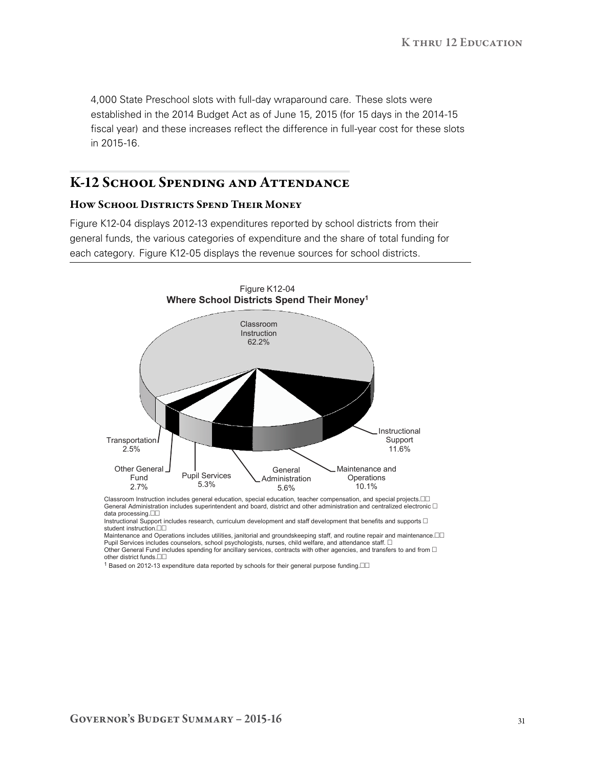4,000 State Preschool slots with full‑day wraparound care. These slots were established in the 2014 Budget Act as of June 15, 2015 (for 15 days in the 2014-15 fiscal year) and these increases reflect the difference in full-year cost for these slots in 2015‑16.

## K-12 SCHOOL SPENDING AND ATTENDANCE

### How School Districts Spend Their Money

Figure K12‑04 displays 2012‑13 expenditures reported by school districts from their general funds, the various categories of expenditure and the share of total funding for each category. Figure K12‑05 displays the revenue sources for school districts.



Classroom Instruction includes general education, special education, teacher compensation, and special projects. General Administration includes superintendent and board, district and other administration and centralized electronic  $\Box$ data processing.

Instructional Support includes research, curriculum development and staff development that benefits and supports  $\Box$ student instruction.

Maintenance and Operations includes utilities, janitorial and groundskeeping staff, and routine repair and maintenance. Pupil Services includes counselors, school psychologists, nurses, child welfare, and attendance staff.  $\Box$ Other General Fund includes spending for ancillary services, contracts with other agencies, and transfers to and from  $\Box$ other district funds.

 $1$  Based on 2012-13 expenditure data reported by schools for their general purpose funding. $\square\square$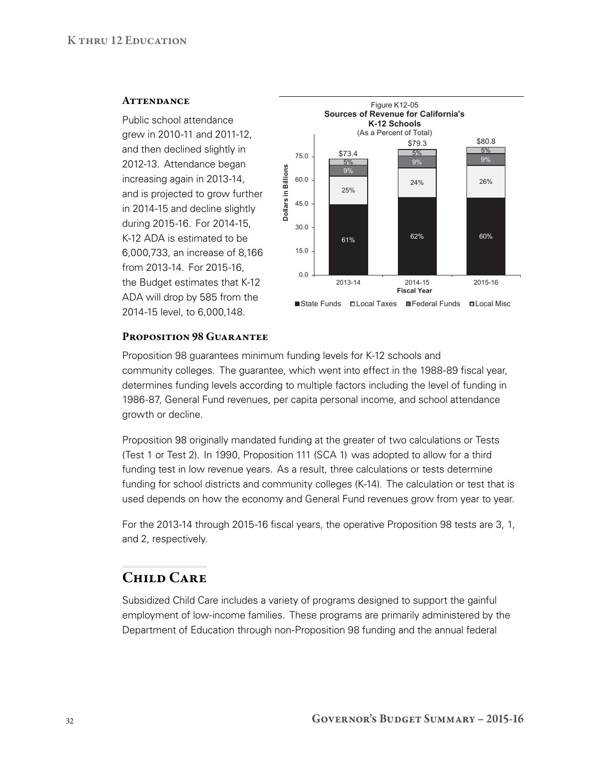#### **ATTENDANCE**

Public school attendance grew in 2010‑11 and 2011‑12, and then declined slightly in 2012‑13. Attendance began increasing again in 2013‑14, and is projected to grow further in 2014-15 and decline slightly during 2015‑16. For 2014‑15, K‑12 ADA is estimated to be 6,000,733, an increase of 8,166 from 2013‑14. For 2015‑16, the Budget estimates that K‑12 ADA will drop by 585 from the 2014‑15 level, to 6,000,148.



#### PROPOSITION 98 GUARANTEE

Proposition 98 guarantees minimum funding levels for K‑12 schools and community colleges. The guarantee, which went into effect in the 1988‑89 fiscal year, determines funding levels according to multiple factors including the level of funding in 1986‑87, General Fund revenues, per capita personal income, and school attendance growth or decline.

Proposition 98 originally mandated funding at the greater of two calculations or Tests (Test 1 or Test 2). In 1990, Proposition 111 (SCA 1) was adopted to allow for a third funding test in low revenue years. As a result, three calculations or tests determine funding for school districts and community colleges (K-14). The calculation or test that is used depends on how the economy and General Fund revenues grow from year to year.

For the 2013‑14 through 2015‑16 fiscal years, the operative Proposition 98 tests are 3, 1, and 2, respectively.

# Child Care

Subsidized Child Care includes a variety of programs designed to support the gainful employment of low‑income families. These programs are primarily administered by the Department of Education through non-Proposition 98 funding and the annual federal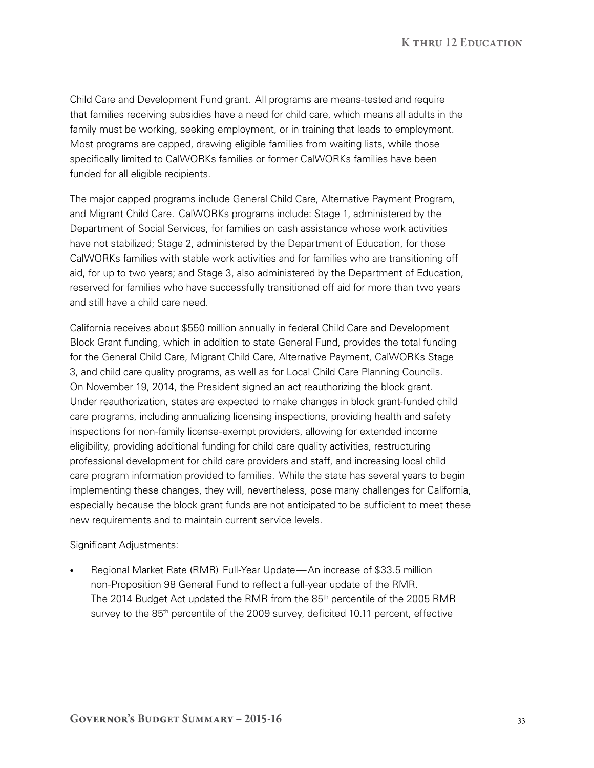Child Care and Development Fund grant. All programs are means‑tested and require that families receiving subsidies have a need for child care, which means all adults in the family must be working, seeking employment, or in training that leads to employment. Most programs are capped, drawing eligible families from waiting lists, while those specifically limited to CalWORKs families or former CalWORKs families have been funded for all eligible recipients.

The major capped programs include General Child Care, Alternative Payment Program, and Migrant Child Care. CalWORKs programs include: Stage 1, administered by the Department of Social Services, for families on cash assistance whose work activities have not stabilized; Stage 2, administered by the Department of Education, for those CalWORKs families with stable work activities and for families who are transitioning off aid, for up to two years; and Stage 3, also administered by the Department of Education, reserved for families who have successfully transitioned off aid for more than two years and still have a child care need.

California receives about \$550 million annually in federal Child Care and Development Block Grant funding, which in addition to state General Fund, provides the total funding for the General Child Care, Migrant Child Care, Alternative Payment, CalWORKs Stage 3, and child care quality programs, as well as for Local Child Care Planning Councils. On November 19, 2014, the President signed an act reauthorizing the block grant. Under reauthorization, states are expected to make changes in block grant‑funded child care programs, including annualizing licensing inspections, providing health and safety inspections for non-family license-exempt providers, allowing for extended income eligibility, providing additional funding for child care quality activities, restructuring professional development for child care providers and staff, and increasing local child care program information provided to families. While the state has several years to begin implementing these changes, they will, nevertheless, pose many challenges for California, especially because the block grant funds are not anticipated to be sufficient to meet these new requirements and to maintain current service levels.

Significant Adjustments:

Regional Market Rate (RMR) Full-Year Update—An increase of \$33.5 million non-Proposition 98 General Fund to reflect a full-year update of the RMR. The 2014 Budget Act updated the RMR from the 85<sup>th</sup> percentile of the 2005 RMR survey to the 85<sup>th</sup> percentile of the 2009 survey, deficited 10.11 percent, effective